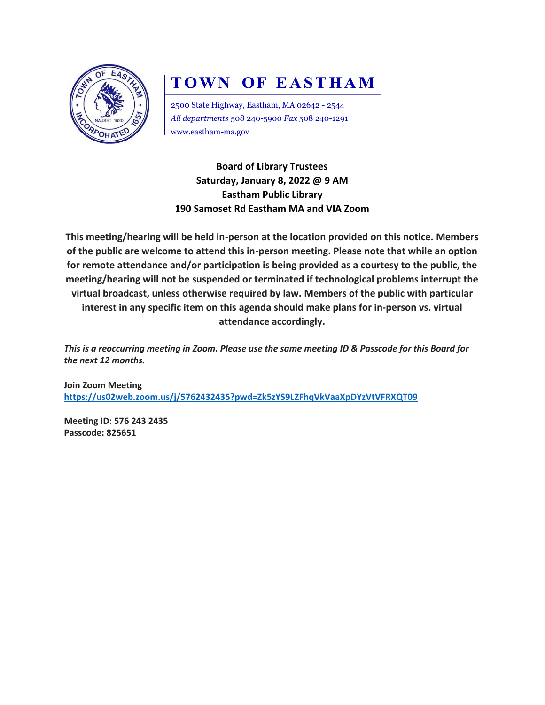

# **TOWN OF EASTHAM**

2500 State Highway, Eastham, MA 02642 - 2544 *All departments* 508 240-5900 *Fax* 508 240-1291 www.eastham-ma.gov

**Board of Library Trustees Saturday, January 8, 2022 @ 9 AM Eastham Public Library 190 Samoset Rd Eastham MA and VIA Zoom**

**This meeting/hearing will be held in-person at the location provided on this notice. Members of the public are welcome to attend this in-person meeting. Please note that while an option for remote attendance and/or participation is being provided as a courtesy to the public, the meeting/hearing will not be suspended or terminated if technological problems interrupt the virtual broadcast, unless otherwise required by law. Members of the public with particular interest in any specific item on this agenda should make plans for in-person vs. virtual attendance accordingly.**

*This is a reoccurring meeting in Zoom. Please use the same meeting ID & Passcode for this Board for the next 12 months.*

**Join Zoom Meeting <https://us02web.zoom.us/j/5762432435?pwd=Zk5zYS9LZFhqVkVaaXpDYzVtVFRXQT09>**

**Meeting ID: 576 243 2435 Passcode: 825651**